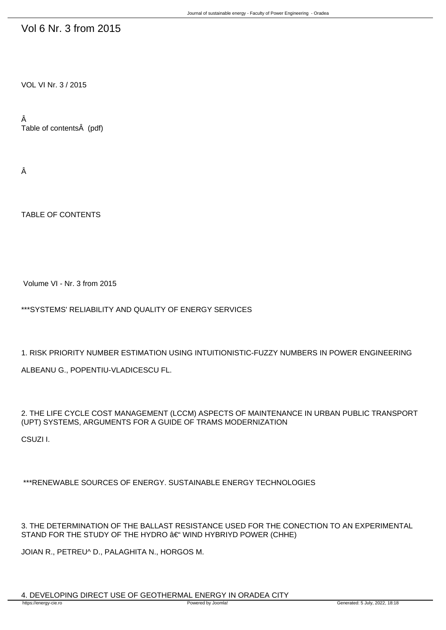## Vol 6 Nr. 3 from 2015

VOL VI Nr. 3 / 2015

Â Table of contents (pdf)

Â

TABLE OF CONTENTS

Volume VI - Nr. 3 from 2015

\*\*\*SYSTEMS' RELIABILITY AND QUALITY OF ENERGY SERVICES

1. RISK PRIORITY NUMBER ESTIMATION USING INTUITIONISTIC-FUZZY NUMBERS IN POWER ENGINEERING ALBEANU G., POPENTIU-VLADICESCU FL.

2. THE LIFE CYCLE COST MANAGEMENT (LCCM) ASPECTS OF MAINTENANCE IN URBAN PUBLIC TRANSPORT (UPT) SYSTEMS, ARGUMENTS FOR A GUIDE OF TRAMS MODERNIZATION

CSUZI I.

\*\*\*RENEWABLE SOURCES OF ENERGY. SUSTAINABLE ENERGY TECHNOLOGIES

3. THE DETERMINATION OF THE BALLAST RESISTANCE USED FOR THE CONECTION TO AN EXPERIMENTAL STAND FOR THE STUDY OF THE HYDRO  $\hat{a}\in$ " WIND HYBRIYD POWER (CHHE)

JOIAN R., PETREU^ D., PALAGHITA N., HORGOS M.

4. DEVELOPING DIRECT USE OF GEOTHERMAL ENERGY IN ORADEA CITY<br>https://energy-cie.ro<br>Powered by Joomla!